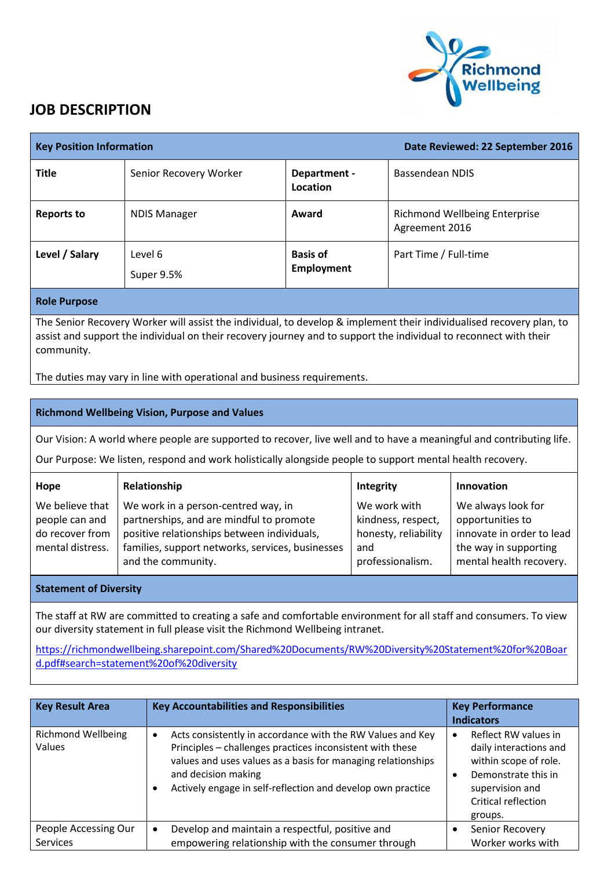

## **JOB DESCRIPTION**

| <b>Key Position Information</b>                                                                                                                                                                                                                         |                        | Date Reviewed: 22 September 2016 |                                                        |
|---------------------------------------------------------------------------------------------------------------------------------------------------------------------------------------------------------------------------------------------------------|------------------------|----------------------------------|--------------------------------------------------------|
| <b>Title</b>                                                                                                                                                                                                                                            | Senior Recovery Worker | Department -<br>Location         | Bassendean NDIS                                        |
| <b>Reports to</b>                                                                                                                                                                                                                                       | <b>NDIS Manager</b>    | Award                            | <b>Richmond Wellbeing Enterprise</b><br>Agreement 2016 |
| Level / Salary                                                                                                                                                                                                                                          | Level 6<br>Super 9.5%  | <b>Basis of</b><br>Employment    | Part Time / Full-time                                  |
| <b>Role Purpose</b>                                                                                                                                                                                                                                     |                        |                                  |                                                        |
| The Senior Recovery Worker will assist the individual, to develop & implement their individualised recovery plan, to<br>assist and support the individual on their recovery journey and to support the individual to reconnect with their<br>community. |                        |                                  |                                                        |

The duties may vary in line with operational and business requirements.

## **Richmond Wellbeing Vision, Purpose and Values**

Our Vision: A world where people are supported to recover, live well and to have a meaningful and contributing life.

Our Purpose: We listen, respond and work holistically alongside people to support mental health recovery.

| Hope             | Relationship                                     | Integrity            | <b>Innovation</b>         |
|------------------|--------------------------------------------------|----------------------|---------------------------|
| We believe that  | We work in a person-centred way, in              | We work with         | We always look for        |
| people can and   | partnerships, and are mindful to promote         | kindness, respect,   | opportunities to          |
| do recover from  | positive relationships between individuals,      | honesty, reliability | innovate in order to lead |
| mental distress. | families, support networks, services, businesses | and                  | the way in supporting     |
|                  | and the community.                               | professionalism.     | mental health recovery.   |
|                  |                                                  |                      |                           |

## **Statement of Diversity**

The staff at RW are committed to creating a safe and comfortable environment for all staff and consumers. To view our diversity statement in full please visit the Richmond Wellbeing intranet.

[https://richmondwellbeing.sharepoint.com/Shared%20Documents/RW%20Diversity%20Statement%20for%20Boar](https://richmondwellbeing.sharepoint.com/Shared%20Documents/RW%20Diversity%20Statement%20for%20Board.pdf#search=statement%20of%20diversity) [d.pdf#search=statement%20of%20diversity](https://richmondwellbeing.sharepoint.com/Shared%20Documents/RW%20Diversity%20Statement%20for%20Board.pdf#search=statement%20of%20diversity)

| <b>Key Result Area</b>                  | <b>Key Accountabilities and Responsibilities</b>                                                                                                                                                                                                                                           | <b>Key Performance</b><br><b>Indicators</b>                                                                                                         |
|-----------------------------------------|--------------------------------------------------------------------------------------------------------------------------------------------------------------------------------------------------------------------------------------------------------------------------------------------|-----------------------------------------------------------------------------------------------------------------------------------------------------|
| <b>Richmond Wellbeing</b><br>Values     | Acts consistently in accordance with the RW Values and Key<br>$\bullet$<br>Principles - challenges practices inconsistent with these<br>values and uses values as a basis for managing relationships<br>and decision making<br>Actively engage in self-reflection and develop own practice | Reflect RW values in<br>daily interactions and<br>within scope of role.<br>Demonstrate this in<br>supervision and<br>Critical reflection<br>groups. |
| People Accessing Our<br><b>Services</b> | Develop and maintain a respectful, positive and<br>empowering relationship with the consumer through                                                                                                                                                                                       | Senior Recovery<br>Worker works with                                                                                                                |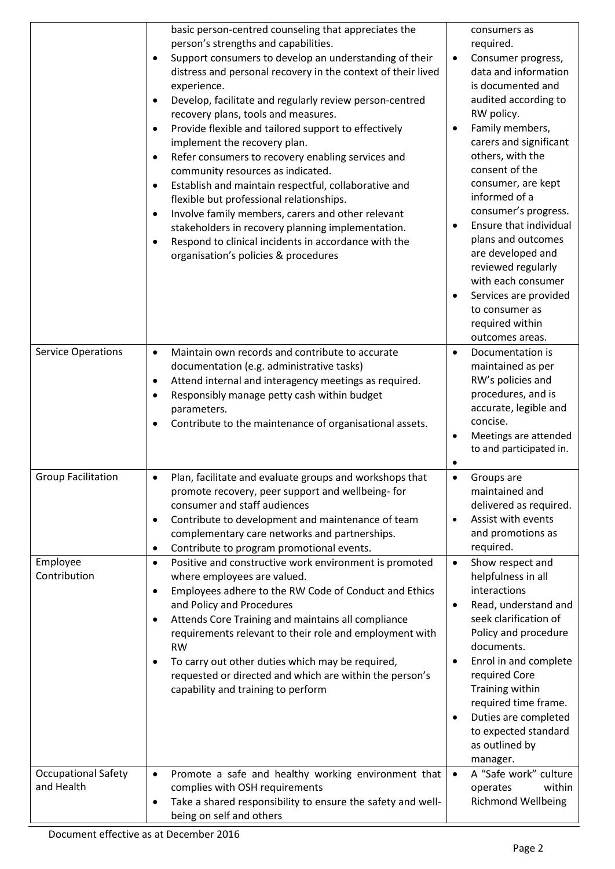|                                                        | basic person-centred counseling that appreciates the<br>person's strengths and capabilities.<br>Support consumers to develop an understanding of their<br>distress and personal recovery in the context of their lived<br>experience.<br>Develop, facilitate and regularly review person-centred<br>$\bullet$<br>recovery plans, tools and measures.<br>Provide flexible and tailored support to effectively<br>$\bullet$<br>implement the recovery plan.<br>Refer consumers to recovery enabling services and<br>٠<br>community resources as indicated.<br>Establish and maintain respectful, collaborative and<br>$\bullet$<br>flexible but professional relationships.<br>Involve family members, carers and other relevant<br>$\bullet$<br>stakeholders in recovery planning implementation.<br>Respond to clinical incidents in accordance with the<br>$\bullet$<br>organisation's policies & procedures | consumers as<br>required.<br>Consumer progress,<br>$\bullet$<br>data and information<br>is documented and<br>audited according to<br>RW policy.<br>Family members,<br>$\bullet$<br>carers and significant<br>others, with the<br>consent of the<br>consumer, are kept<br>informed of a<br>consumer's progress.<br>Ensure that individual<br>$\bullet$<br>plans and outcomes<br>are developed and<br>reviewed regularly<br>with each consumer<br>Services are provided<br>$\bullet$<br>to consumer as<br>required within<br>outcomes areas. |
|--------------------------------------------------------|---------------------------------------------------------------------------------------------------------------------------------------------------------------------------------------------------------------------------------------------------------------------------------------------------------------------------------------------------------------------------------------------------------------------------------------------------------------------------------------------------------------------------------------------------------------------------------------------------------------------------------------------------------------------------------------------------------------------------------------------------------------------------------------------------------------------------------------------------------------------------------------------------------------|--------------------------------------------------------------------------------------------------------------------------------------------------------------------------------------------------------------------------------------------------------------------------------------------------------------------------------------------------------------------------------------------------------------------------------------------------------------------------------------------------------------------------------------------|
| <b>Service Operations</b>                              | Maintain own records and contribute to accurate<br>$\bullet$<br>documentation (e.g. administrative tasks)<br>Attend internal and interagency meetings as required.<br>$\bullet$<br>Responsibly manage petty cash within budget<br>$\bullet$<br>parameters.<br>Contribute to the maintenance of organisational assets.                                                                                                                                                                                                                                                                                                                                                                                                                                                                                                                                                                                         | Documentation is<br>$\bullet$<br>maintained as per<br>RW's policies and<br>procedures, and is<br>accurate, legible and<br>concise.<br>Meetings are attended<br>$\bullet$<br>to and participated in.<br>٠                                                                                                                                                                                                                                                                                                                                   |
| <b>Group Facilitation</b>                              | Plan, facilitate and evaluate groups and workshops that<br>$\bullet$<br>promote recovery, peer support and wellbeing- for<br>consumer and staff audiences<br>Contribute to development and maintenance of team<br>$\bullet$<br>complementary care networks and partnerships.<br>Contribute to program promotional events.<br>$\bullet$                                                                                                                                                                                                                                                                                                                                                                                                                                                                                                                                                                        | Groups are<br>$\bullet$<br>maintained and<br>delivered as required.<br>Assist with events<br>$\bullet$<br>and promotions as<br>required.                                                                                                                                                                                                                                                                                                                                                                                                   |
| Employee<br>Contribution<br><b>Occupational Safety</b> | Positive and constructive work environment is promoted<br>$\bullet$<br>where employees are valued.<br>Employees adhere to the RW Code of Conduct and Ethics<br>$\bullet$<br>and Policy and Procedures<br>Attends Core Training and maintains all compliance<br>$\bullet$<br>requirements relevant to their role and employment with<br><b>RW</b><br>To carry out other duties which may be required,<br>$\bullet$<br>requested or directed and which are within the person's<br>capability and training to perform<br>Promote a safe and healthy working environment that<br>$\bullet$                                                                                                                                                                                                                                                                                                                        | Show respect and<br>$\bullet$<br>helpfulness in all<br>interactions<br>Read, understand and<br>$\bullet$<br>seek clarification of<br>Policy and procedure<br>documents.<br>Enrol in and complete<br>$\bullet$<br>required Core<br>Training within<br>required time frame.<br>Duties are completed<br>$\bullet$<br>to expected standard<br>as outlined by<br>manager.<br>A "Safe work" culture<br>$\bullet$                                                                                                                                 |
| and Health                                             | complies with OSH requirements<br>Take a shared responsibility to ensure the safety and well-<br>$\bullet$<br>being on self and others                                                                                                                                                                                                                                                                                                                                                                                                                                                                                                                                                                                                                                                                                                                                                                        | within<br>operates<br><b>Richmond Wellbeing</b>                                                                                                                                                                                                                                                                                                                                                                                                                                                                                            |